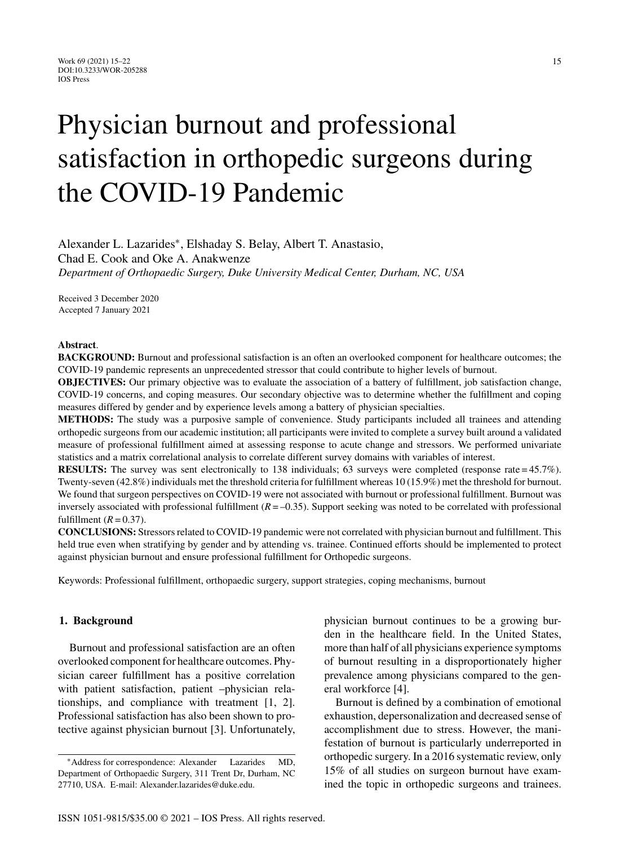# Physician burnout and professional satisfaction in orthopedic surgeons during the COVID-19 Pandemic

Alexander L. Lazarides∗, Elshaday S. Belay, Albert T. Anastasio, Chad E. Cook and Oke A. Anakwenze *Department of Orthopaedic Surgery, Duke University Medical Center, Durham, NC, USA*

Received 3 December 2020 Accepted 7 January 2021

## **Abstract**.

**BACKGROUND:** Burnout and professional satisfaction is an often an overlooked component for healthcare outcomes; the COVID-19 pandemic represents an unprecedented stressor that could contribute to higher levels of burnout.

**OBJECTIVES:** Our primary objective was to evaluate the association of a battery of fulfillment, job satisfaction change, COVID-19 concerns, and coping measures. Our secondary objective was to determine whether the fulfillment and coping measures differed by gender and by experience levels among a battery of physician specialties.

**METHODS:** The study was a purposive sample of convenience. Study participants included all trainees and attending orthopedic surgeons from our academic institution; all participants were invited to complete a survey built around a validated measure of professional fulfillment aimed at assessing response to acute change and stressors. We performed univariate statistics and a matrix correlational analysis to correlate different survey domains with variables of interest.

**RESULTS:** The survey was sent electronically to 138 individuals; 63 surveys were completed (response rate = 45.7%). Twenty-seven (42.8%) individuals met the threshold criteria for fulfillment whereas 10 (15.9%) met the threshold for burnout. We found that surgeon perspectives on COVID-19 were not associated with burnout or professional fulfillment. Burnout was inversely associated with professional fulfillment  $(R = -0.35)$ . Support seeking was noted to be correlated with professional fulfillment  $(R = 0.37)$ .

**CONCLUSIONS:** Stressors related to COVID-19 pandemic were not correlated with physician burnout and fulfillment. This held true even when stratifying by gender and by attending vs. trainee. Continued efforts should be implemented to protect against physician burnout and ensure professional fulfillment for Orthopedic surgeons.

Keywords: Professional fulfillment, orthopaedic surgery, support strategies, coping mechanisms, burnout

# **1. Background**

Burnout and professional satisfaction are an often overlooked component for healthcare outcomes. Physician career fulfillment has a positive correlation with patient satisfaction, patient –physician relationships, and compliance with treatment [1, 2]. Professional satisfaction has also been shown to protective against physician burnout [3]. Unfortunately, physician burnout continues to be a growing burden in the healthcare field. In the United States, more than half of all physicians experience symptoms of burnout resulting in a disproportionately higher prevalence among physicians compared to the general workforce [4].

Burnout is defined by a combination of emotional exhaustion, depersonalization and decreased sense of accomplishment due to stress. However, the manifestation of burnout is particularly underreported in orthopedic surgery. In a 2016 systematic review, only 15% of all studies on surgeon burnout have examined the topic in orthopedic surgeons and trainees.

<sup>∗</sup>Address for correspondence: Alexander Lazarides MD, Department of Orthopaedic Surgery, 311 Trent Dr, Durham, NC 27710, USA. E-mail: [Alexander.lazarides@duke.edu.](mailto:Alexander.lazarides@duke.edu)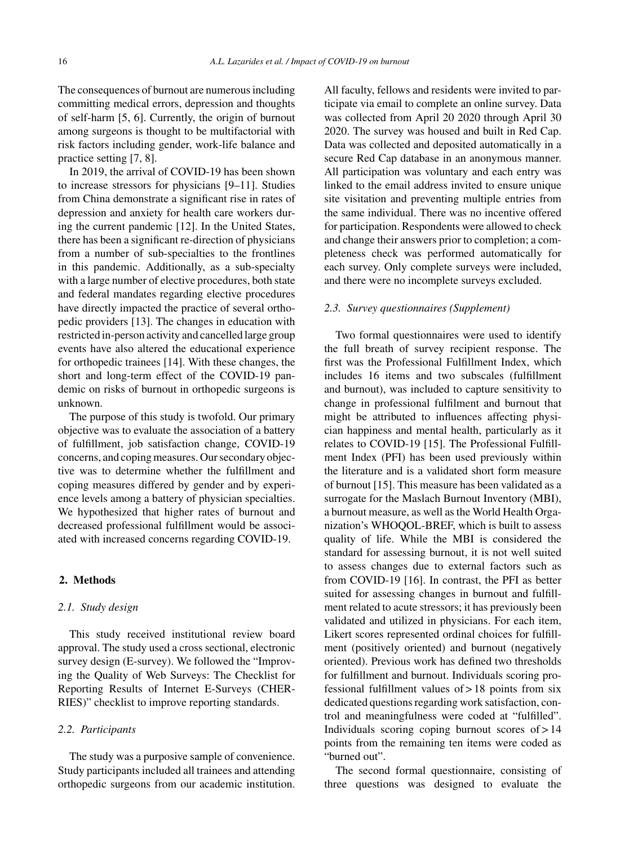The consequences of burnout are numerous including committing medical errors, depression and thoughts of self-harm [5, 6]. Currently, the origin of burnout among surgeons is thought to be multifactorial with risk factors including gender, work-life balance and practice setting [7, 8].

In 2019, the arrival of COVID-19 has been shown to increase stressors for physicians [9–11]. Studies from China demonstrate a significant rise in rates of depression and anxiety for health care workers during the current pandemic [12]. In the United States, there has been a significant re-direction of physicians from a number of sub-specialties to the frontlines in this pandemic. Additionally, as a sub-specialty with a large number of elective procedures, both state and federal mandates regarding elective procedures have directly impacted the practice of several orthopedic providers [13]. The changes in education with restricted in-person activity and cancelled large group events have also altered the educational experience for orthopedic trainees [14]. With these changes, the short and long-term effect of the COVID-19 pandemic on risks of burnout in orthopedic surgeons is unknown.

The purpose of this study is twofold. Our primary objective was to evaluate the association of a battery of fulfillment, job satisfaction change, COVID-19 concerns, and coping measures. Our secondary objective was to determine whether the fulfillment and coping measures differed by gender and by experience levels among a battery of physician specialties. We hypothesized that higher rates of burnout and decreased professional fulfillment would be associated with increased concerns regarding COVID-19.

# **2. Methods**

#### *2.1. Study design*

This study received institutional review board approval. The study used a cross sectional, electronic survey design (E-survey). We followed the "Improving the Quality of Web Surveys: The Checklist for Reporting Results of Internet E-Surveys (CHER-RIES)" checklist to improve reporting standards.

## *2.2. Participants*

The study was a purposive sample of convenience. Study participants included all trainees and attending orthopedic surgeons from our academic institution. All faculty, fellows and residents were invited to participate via email to complete an online survey. Data was collected from April 20 2020 through April 30 2020. The survey was housed and built in Red Cap. Data was collected and deposited automatically in a secure Red Cap database in an anonymous manner. All participation was voluntary and each entry was linked to the email address invited to ensure unique site visitation and preventing multiple entries from the same individual. There was no incentive offered for participation. Respondents were allowed to check and change their answers prior to completion; a completeness check was performed automatically for each survey. Only complete surveys were included, and there were no incomplete surveys excluded.

## *2.3. Survey questionnaires (Supplement)*

Two formal questionnaires were used to identify the full breath of survey recipient response. The first was the Professional Fulfillment Index, which includes 16 items and two subscales (fulfillment and burnout), was included to capture sensitivity to change in professional fulfilment and burnout that might be attributed to influences affecting physician happiness and mental health, particularly as it relates to COVID-19 [15]. The Professional Fulfillment Index (PFI) has been used previously within the literature and is a validated short form measure of burnout [15]. This measure has been validated as a surrogate for the Maslach Burnout Inventory (MBI), a burnout measure, as well as the World Health Organization's WHOQOL-BREF, which is built to assess quality of life. While the MBI is considered the standard for assessing burnout, it is not well suited to assess changes due to external factors such as from COVID-19 [16]. In contrast, the PFI as better suited for assessing changes in burnout and fulfillment related to acute stressors; it has previously been validated and utilized in physicians. For each item, Likert scores represented ordinal choices for fulfillment (positively oriented) and burnout (negatively oriented). Previous work has defined two thresholds for fulfillment and burnout. Individuals scoring professional fulfillment values of > 18 points from six dedicated questions regarding work satisfaction, control and meaningfulness were coded at "fulfilled". Individuals scoring coping burnout scores of > 14 points from the remaining ten items were coded as "burned out".

The second formal questionnaire, consisting of three questions was designed to evaluate the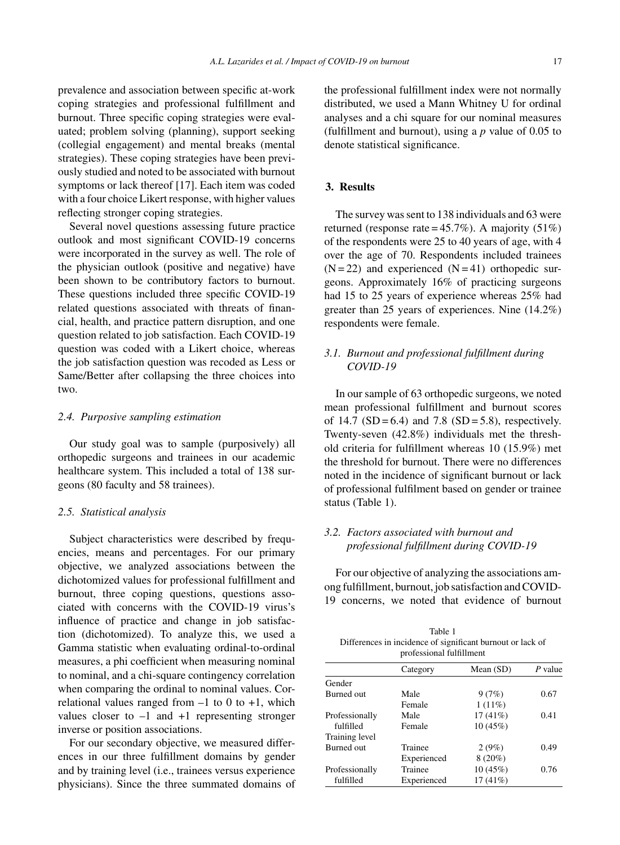prevalence and association between specific at-work coping strategies and professional fulfillment and burnout. Three specific coping strategies were evaluated; problem solving (planning), support seeking (collegial engagement) and mental breaks (mental strategies). These coping strategies have been previously studied and noted to be associated with burnout symptoms or lack thereof [17]. Each item was coded with a four choice Likert response, with higher values reflecting stronger coping strategies.

Several novel questions assessing future practice outlook and most significant COVID-19 concerns were incorporated in the survey as well. The role of the physician outlook (positive and negative) have been shown to be contributory factors to burnout. These questions included three specific COVID-19 related questions associated with threats of financial, health, and practice pattern disruption, and one question related to job satisfaction. Each COVID-19 question was coded with a Likert choice, whereas the job satisfaction question was recoded as Less or Same/Better after collapsing the three choices into two.

# *2.4. Purposive sampling estimation*

Our study goal was to sample (purposively) all orthopedic surgeons and trainees in our academic healthcare system. This included a total of 138 surgeons (80 faculty and 58 trainees).

## *2.5. Statistical analysis*

Subject characteristics were described by frequencies, means and percentages. For our primary objective, we analyzed associations between the dichotomized values for professional fulfillment and burnout, three coping questions, questions associated with concerns with the COVID-19 virus's influence of practice and change in job satisfaction (dichotomized). To analyze this, we used a Gamma statistic when evaluating ordinal-to-ordinal measures, a phi coefficient when measuring nominal to nominal, and a chi-square contingency correlation when comparing the ordinal to nominal values. Correlational values ranged from  $-1$  to 0 to  $+1$ , which values closer to  $-1$  and  $+1$  representing stronger inverse or position associations.

For our secondary objective, we measured differences in our three fulfillment domains by gender and by training level (i.e., trainees versus experience physicians). Since the three summated domains of the professional fulfillment index were not normally distributed, we used a Mann Whitney U for ordinal analyses and a chi square for our nominal measures (fulfillment and burnout), using a *p* value of 0.05 to denote statistical significance.

# **3. Results**

The survey was sent to 138 individuals and 63 were returned (response rate =  $45.7\%$ ). A majority ( $51\%$ ) of the respondents were 25 to 40 years of age, with 4 over the age of 70. Respondents included trainees  $(N = 22)$  and experienced  $(N = 41)$  orthopedic surgeons. Approximately 16% of practicing surgeons had 15 to 25 years of experience whereas 25% had greater than 25 years of experiences. Nine (14.2%) respondents were female.

# *3.1. Burnout and professional fulfillment during COVID-19*

In our sample of 63 orthopedic surgeons, we noted mean professional fulfillment and burnout scores of 14.7  $(SD = 6.4)$  and 7.8  $(SD = 5.8)$ , respectively. Twenty-seven (42.8%) individuals met the threshold criteria for fulfillment whereas 10 (15.9%) met the threshold for burnout. There were no differences noted in the incidence of significant burnout or lack of professional fulfilment based on gender or trainee status (Table 1).

# *3.2. Factors associated with burnout and professional fulfillment during COVID-19*

For our objective of analyzing the associations among fulfillment, burnout, job satisfaction and COVID-19 concerns, we noted that evidence of burnout

| Table 1                                                    |
|------------------------------------------------------------|
| Differences in incidence of significant burnout or lack of |
| professional fulfillment                                   |

|                | Category    | Mean $(SD)$ | $P$ value |
|----------------|-------------|-------------|-----------|
| Gender         |             |             |           |
| Burned out     | Male        | 9(7%)       | 0.67      |
|                | Female      | $1(11\%)$   |           |
| Professionally | Male        | 17(41%)     | 0.41      |
| fulfilled      | Female      | 10 (45%)    |           |
| Training level |             |             |           |
| Burned out     | Trainee     | 2(9%)       | 0.49      |
|                | Experienced | $8(20\%)$   |           |
| Professionally | Trainee     | 10 (45%)    | 0.76      |
| fulfilled      | Experienced | 17(41%)     |           |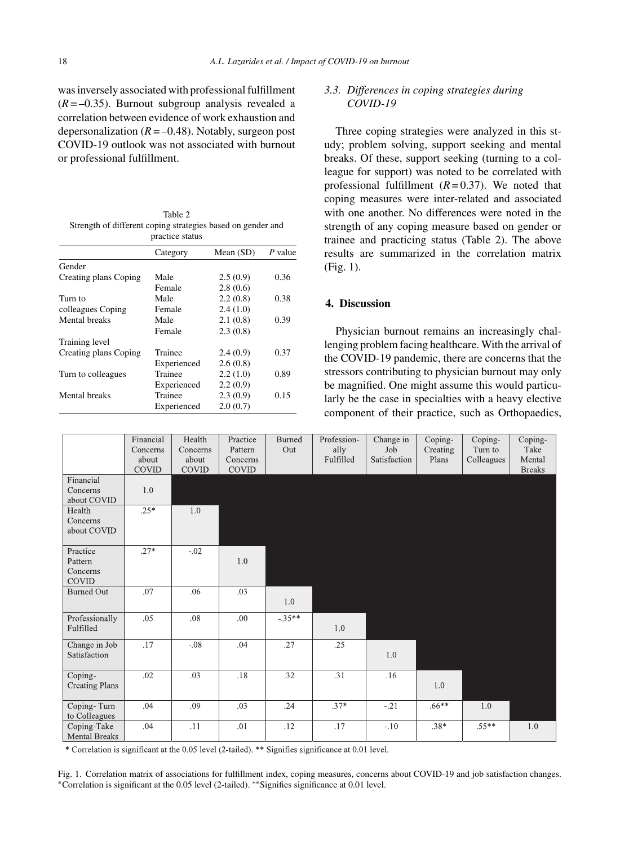was inversely associated with professional fulfillment  $(R = -0.35)$ . Burnout subgroup analysis revealed a correlation between evidence of work exhaustion and depersonalization  $(R = -0.48)$ . Notably, surgeon post COVID-19 outlook was not associated with burnout or professional fulfillment.

Table 2 Strength of different coping strategies based on gender and practice status

|                       | Category    | Mean $(SD)$ | $P$ value |  |
|-----------------------|-------------|-------------|-----------|--|
| Gender                |             |             |           |  |
| Creating plans Coping | Male        | 2.5(0.9)    | 0.36      |  |
|                       | Female      | 2.8(0.6)    |           |  |
| Turn to               | Male        | 2.2(0.8)    | 0.38      |  |
| colleagues Coping     | Female      | 2.4(1.0)    |           |  |
| Mental breaks         | Male        | 2.1(0.8)    | 0.39      |  |
|                       | Female      | 2.3(0.8)    |           |  |
| Training level        |             |             |           |  |
| Creating plans Coping | Trainee     | 2.4(0.9)    | 0.37      |  |
|                       | Experienced | 2.6(0.8)    |           |  |
| Turn to colleagues    | Trainee     | 2.2(1.0)    | 0.89      |  |
|                       | Experienced | 2.2(0.9)    |           |  |
| Mental breaks         | Trainee     | 2.3(0.9)    | 0.15      |  |
|                       | Experienced | 2.0(0.7)    |           |  |

# *3.3. Differences in coping strategies during COVID-19*

Three coping strategies were analyzed in this study; problem solving, support seeking and mental breaks. Of these, support seeking (turning to a colleague for support) was noted to be correlated with professional fulfillment  $(R=0.37)$ . We noted that coping measures were inter-related and associated with one another. No differences were noted in the strength of any coping measure based on gender or trainee and practicing status (Table 2). The above results are summarized in the correlation matrix (Fig. 1).

# **4. Discussion**

Physician burnout remains an increasingly challenging problem facing healthcare. With the arrival of the COVID-19 pandemic, there are concerns that the stressors contributing to physician burnout may only be magnified. One might assume this would particularly be the case in specialties with a heavy elective component of their practice, such as Orthopaedics,

|                                          | Financial<br>Concerns<br>about<br><b>COVID</b> | Health<br>Concerns<br>about<br><b>COVID</b> | Practice<br>Pattern<br>Concerns<br><b>COVID</b> | Burned<br>Out | Profession-<br>ally<br>Fulfilled | Change in<br>Job<br>Satisfaction | Coping-<br>Creating<br>Plans | Coping-<br>Turn to<br>Colleagues | Coping-<br>Take<br>Mental<br><b>Breaks</b> |
|------------------------------------------|------------------------------------------------|---------------------------------------------|-------------------------------------------------|---------------|----------------------------------|----------------------------------|------------------------------|----------------------------------|--------------------------------------------|
| Financial<br>Concerns<br>about COVID     | 1.0                                            |                                             |                                                 |               |                                  |                                  |                              |                                  |                                            |
| Health<br>Concerns<br>about COVID        | $.25*$                                         | 1.0                                         |                                                 |               |                                  |                                  |                              |                                  |                                            |
| Practice<br>Pattern<br>Concerns<br>COVID | $.27*$                                         | $-.02$                                      | 1.0                                             |               |                                  |                                  |                              |                                  |                                            |
| <b>Burned Out</b>                        | .07                                            | .06                                         | .03                                             | 1.0           |                                  |                                  |                              |                                  |                                            |
| Professionally<br>Fulfilled              | .05                                            | .08                                         | .00                                             | $-.35**$      | 1.0                              |                                  |                              |                                  |                                            |
| Change in Job<br>Satisfaction            | .17                                            | $-.08$                                      | .04                                             | .27           | .25                              | 1.0                              |                              |                                  |                                            |
| Coping-<br><b>Creating Plans</b>         | .02                                            | .03                                         | .18                                             | .32           | .31                              | .16                              | 1.0                          |                                  |                                            |
| Coping-Turn<br>to Colleagues             | .04                                            | .09                                         | .03                                             | .24           | $.37*$                           | $-.21$                           | $.66***$                     | 1.0                              |                                            |
| Coping-Take<br><b>Mental Breaks</b>      | .04                                            | .11                                         | .01                                             | .12           | .17                              | $-.10$                           | $.38*$                       | $.55***$                         | 1.0                                        |

\* Correlation is significant at the 0.05 level (2-tailed). \*\* Signifies significance at 0.01 level.

Fig. 1. Correlation matrix of associations for fulfillment index, coping measures, concerns about COVID-19 and job satisfaction changes. ∗Correlation is significant at the 0.05 level (2-tailed). ∗∗Signifies significance at 0.01 level.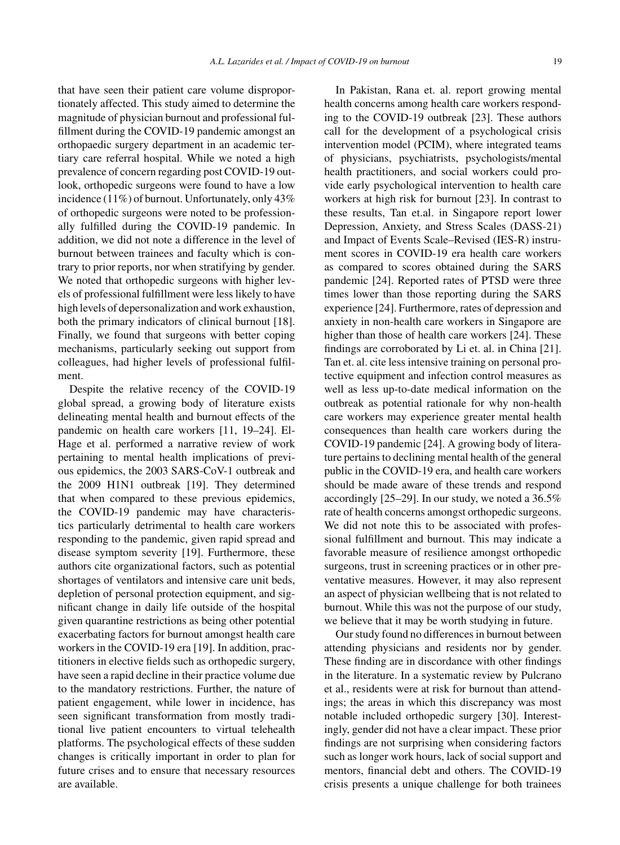that have seen their patient care volume disproportionately affected. This study aimed to determine the magnitude of physician burnout and professional fulfillment during the COVID-19 pandemic amongst an orthopaedic surgery department in an academic tertiary care referral hospital. While we noted a high prevalence of concern regarding post COVID-19 outlook, orthopedic surgeons were found to have a low incidence (11%) of burnout. Unfortunately, only 43% of orthopedic surgeons were noted to be professionally fulfilled during the COVID-19 pandemic. In addition, we did not note a difference in the level of burnout between trainees and faculty which is contrary to prior reports, nor when stratifying by gender. We noted that orthopedic surgeons with higher levels of professional fulfillment were less likely to have high levels of depersonalization and work exhaustion, both the primary indicators of clinical burnout [18]. Finally, we found that surgeons with better coping mechanisms, particularly seeking out support from colleagues, had higher levels of professional fulfilment.

Despite the relative recency of the COVID-19 global spread, a growing body of literature exists delineating mental health and burnout effects of the pandemic on health care workers [11, 19–24]. El-Hage et al. performed a narrative review of work pertaining to mental health implications of previous epidemics, the 2003 SARS-CoV-1 outbreak and the 2009 H1N1 outbreak [19]. They determined that when compared to these previous epidemics, the COVID-19 pandemic may have characteristics particularly detrimental to health care workers responding to the pandemic, given rapid spread and disease symptom severity [19]. Furthermore, these authors cite organizational factors, such as potential shortages of ventilators and intensive care unit beds, depletion of personal protection equipment, and significant change in daily life outside of the hospital given quarantine restrictions as being other potential exacerbating factors for burnout amongst health care workers in the COVID-19 era [19]. In addition, practitioners in elective fields such as orthopedic surgery, have seen a rapid decline in their practice volume due to the mandatory restrictions. Further, the nature of patient engagement, while lower in incidence, has seen significant transformation from mostly traditional live patient encounters to virtual telehealth platforms. The psychological effects of these sudden changes is critically important in order to plan for future crises and to ensure that necessary resources are available.

In Pakistan, Rana et. al. report growing mental health concerns among health care workers responding to the COVID-19 outbreak [23]. These authors call for the development of a psychological crisis intervention model (PCIM), where integrated teams of physicians, psychiatrists, psychologists/mental health practitioners, and social workers could provide early psychological intervention to health care workers at high risk for burnout [23]. In contrast to these results, Tan et.al. in Singapore report lower Depression, Anxiety, and Stress Scales (DASS-21) and Impact of Events Scale–Revised (IES-R) instrument scores in COVID-19 era health care workers as compared to scores obtained during the SARS pandemic [24]. Reported rates of PTSD were three times lower than those reporting during the SARS experience [24]. Furthermore, rates of depression and anxiety in non-health care workers in Singapore are higher than those of health care workers [24]. These findings are corroborated by Li et. al. in China [21]. Tan et. al. cite less intensive training on personal protective equipment and infection control measures as well as less up-to-date medical information on the outbreak as potential rationale for why non-health care workers may experience greater mental health consequences than health care workers during the COVID-19 pandemic [24]. A growing body of literature pertains to declining mental health of the general public in the COVID-19 era, and health care workers should be made aware of these trends and respond accordingly [25–29]. In our study, we noted a 36.5% rate of health concerns amongst orthopedic surgeons. We did not note this to be associated with professional fulfillment and burnout. This may indicate a favorable measure of resilience amongst orthopedic surgeons, trust in screening practices or in other preventative measures. However, it may also represent an aspect of physician wellbeing that is not related to burnout. While this was not the purpose of our study, we believe that it may be worth studying in future.

Our study found no differences in burnout between attending physicians and residents nor by gender. These finding are in discordance with other findings in the literature. In a systematic review by Pulcrano et al., residents were at risk for burnout than attendings; the areas in which this discrepancy was most notable included orthopedic surgery [30]. Interestingly, gender did not have a clear impact. These prior findings are not surprising when considering factors such as longer work hours, lack of social support and mentors, financial debt and others. The COVID-19 crisis presents a unique challenge for both trainees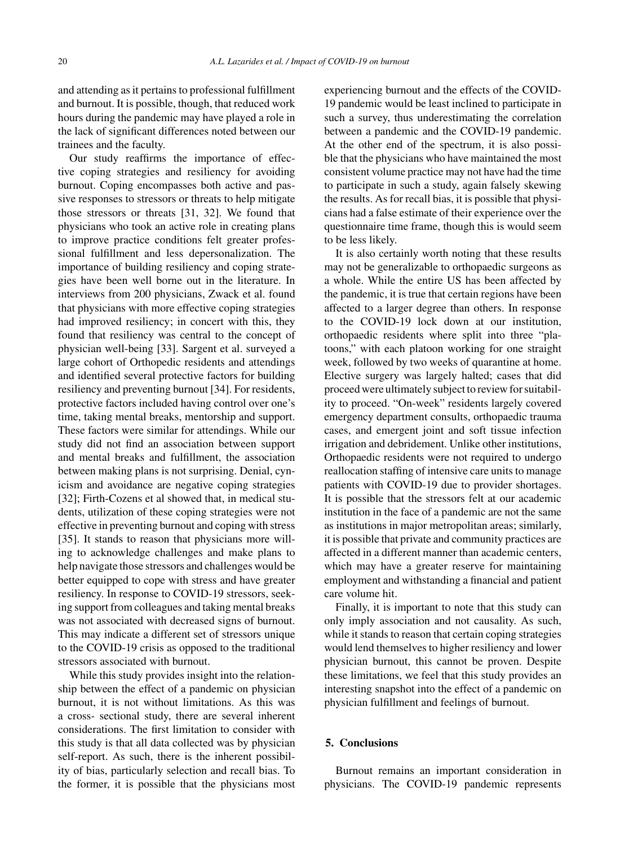and attending as it pertains to professional fulfillment and burnout. It is possible, though, that reduced work hours during the pandemic may have played a role in the lack of significant differences noted between our trainees and the faculty.

Our study reaffirms the importance of effective coping strategies and resiliency for avoiding burnout. Coping encompasses both active and passive responses to stressors or threats to help mitigate those stressors or threats [31, 32]. We found that physicians who took an active role in creating plans to improve practice conditions felt greater professional fulfillment and less depersonalization. The importance of building resiliency and coping strategies have been well borne out in the literature. In interviews from 200 physicians, Zwack et al. found that physicians with more effective coping strategies had improved resiliency; in concert with this, they found that resiliency was central to the concept of physician well-being [33]. Sargent et al. surveyed a large cohort of Orthopedic residents and attendings and identified several protective factors for building resiliency and preventing burnout [34]. For residents, protective factors included having control over one's time, taking mental breaks, mentorship and support. These factors were similar for attendings. While our study did not find an association between support and mental breaks and fulfillment, the association between making plans is not surprising. Denial, cynicism and avoidance are negative coping strategies [32]; Firth-Cozens et al showed that, in medical students, utilization of these coping strategies were not effective in preventing burnout and coping with stress [35]. It stands to reason that physicians more willing to acknowledge challenges and make plans to help navigate those stressors and challenges would be better equipped to cope with stress and have greater resiliency. In response to COVID-19 stressors, seeking support from colleagues and taking mental breaks was not associated with decreased signs of burnout. This may indicate a different set of stressors unique to the COVID-19 crisis as opposed to the traditional stressors associated with burnout.

While this study provides insight into the relationship between the effect of a pandemic on physician burnout, it is not without limitations. As this was a cross- sectional study, there are several inherent considerations. The first limitation to consider with this study is that all data collected was by physician self-report. As such, there is the inherent possibility of bias, particularly selection and recall bias. To the former, it is possible that the physicians most experiencing burnout and the effects of the COVID-19 pandemic would be least inclined to participate in such a survey, thus underestimating the correlation between a pandemic and the COVID-19 pandemic. At the other end of the spectrum, it is also possible that the physicians who have maintained the most consistent volume practice may not have had the time to participate in such a study, again falsely skewing the results. As for recall bias, it is possible that physicians had a false estimate of their experience over the questionnaire time frame, though this is would seem to be less likely.

It is also certainly worth noting that these results may not be generalizable to orthopaedic surgeons as a whole. While the entire US has been affected by the pandemic, it is true that certain regions have been affected to a larger degree than others. In response to the COVID-19 lock down at our institution, orthopaedic residents where split into three "platoons," with each platoon working for one straight week, followed by two weeks of quarantine at home. Elective surgery was largely halted; cases that did proceed were ultimately subject to review for suitability to proceed. "On-week" residents largely covered emergency department consults, orthopaedic trauma cases, and emergent joint and soft tissue infection irrigation and debridement. Unlike other institutions, Orthopaedic residents were not required to undergo reallocation staffing of intensive care units to manage patients with COVID-19 due to provider shortages. It is possible that the stressors felt at our academic institution in the face of a pandemic are not the same as institutions in major metropolitan areas; similarly, it is possible that private and community practices are affected in a different manner than academic centers, which may have a greater reserve for maintaining employment and withstanding a financial and patient care volume hit.

Finally, it is important to note that this study can only imply association and not causality. As such, while it stands to reason that certain coping strategies would lend themselves to higher resiliency and lower physician burnout, this cannot be proven. Despite these limitations, we feel that this study provides an interesting snapshot into the effect of a pandemic on physician fulfillment and feelings of burnout.

#### **5. Conclusions**

Burnout remains an important consideration in physicians. The COVID-19 pandemic represents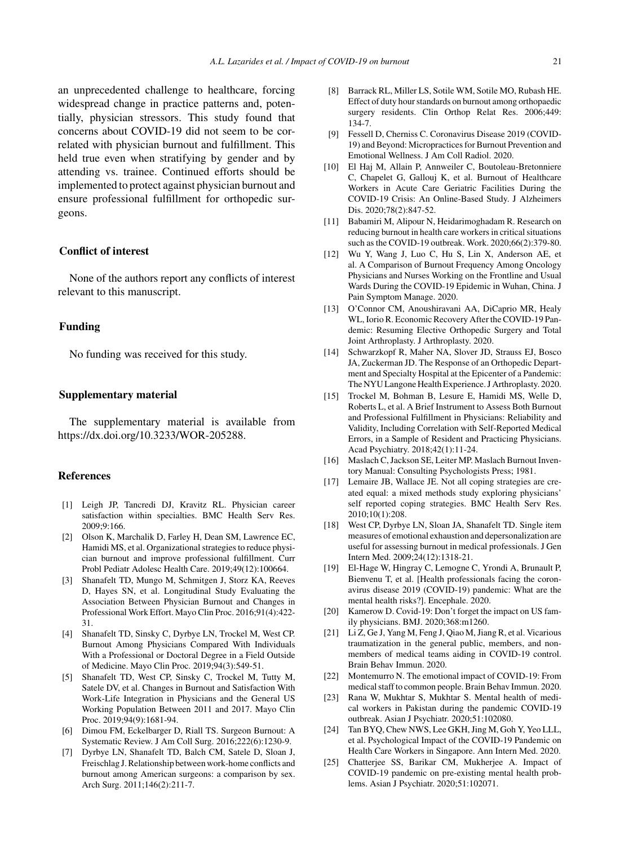an unprecedented challenge to healthcare, forcing widespread change in practice patterns and, potentially, physician stressors. This study found that concerns about COVID-19 did not seem to be correlated with physician burnout and fulfillment. This held true even when stratifying by gender and by attending vs. trainee. Continued efforts should be implemented to protect against physician burnout and ensure professional fulfillment for orthopedic surgeons.

## **Conflict of interest**

None of the authors report any conflicts of interest relevant to this manuscript.

#### **Funding**

No funding was received for this study.

## **Supplementary material**

The supplementary material is available from [https://dx.doi.org/10.3233/WOR-205288.](https://dx.doi.org/10.3233/WOR-205288)

### **References**

- [1] Leigh JP, Tancredi DJ, Kravitz RL. Physician career satisfaction within specialties. BMC Health Serv Res. 2009;9:166.
- [2] Olson K, Marchalik D, Farley H, Dean SM, Lawrence EC, Hamidi MS, et al. Organizational strategies to reduce physician burnout and improve professional fulfillment. Curr Probl Pediatr Adolesc Health Care. 2019;49(12):100664.
- [3] Shanafelt TD, Mungo M, Schmitgen J, Storz KA, Reeves D, Hayes SN, et al. Longitudinal Study Evaluating the Association Between Physician Burnout and Changes in Professional Work Effort. Mayo Clin Proc. 2016;91(4):422- 31.
- [4] Shanafelt TD, Sinsky C, Dyrbye LN, Trockel M, West CP. Burnout Among Physicians Compared With Individuals With a Professional or Doctoral Degree in a Field Outside of Medicine. Mayo Clin Proc. 2019;94(3):549-51.
- [5] Shanafelt TD, West CP, Sinsky C, Trockel M, Tutty M, Satele DV, et al. Changes in Burnout and Satisfaction With Work-Life Integration in Physicians and the General US Working Population Between 2011 and 2017. Mayo Clin Proc. 2019;94(9):1681-94.
- [6] Dimou FM, Eckelbarger D, Riall TS. Surgeon Burnout: A Systematic Review. J Am Coll Surg. 2016;222(6):1230-9.
- [7] Dyrbye LN, Shanafelt TD, Balch CM, Satele D, Sloan J, Freischlag J. Relationship between work-home conflicts and burnout among American surgeons: a comparison by sex. Arch Surg. 2011;146(2):211-7.
- [8] Barrack RL, Miller LS, Sotile WM, Sotile MO, Rubash HE. Effect of duty hour standards on burnout among orthopaedic surgery residents. Clin Orthop Relat Res. 2006;449: 134-7.
- [9] Fessell D, Cherniss C. Coronavirus Disease 2019 (COVID-19) and Beyond: Micropractices for Burnout Prevention and Emotional Wellness. J Am Coll Radiol. 2020.
- [10] El Haj M, Allain P, Annweiler C, Boutoleau-Bretonniere C, Chapelet G, Gallouj K, et al. Burnout of Healthcare Workers in Acute Care Geriatric Facilities During the COVID-19 Crisis: An Online-Based Study. J Alzheimers Dis. 2020;78(2):847-52.
- [11] Babamiri M, Alipour N, Heidarimoghadam R. Research on reducing burnout in health care workers in critical situations such as the COVID-19 outbreak. Work. 2020;66(2):379-80.
- [12] Wu Y, Wang J, Luo C, Hu S, Lin X, Anderson AE, et al. A Comparison of Burnout Frequency Among Oncology Physicians and Nurses Working on the Frontline and Usual Wards During the COVID-19 Epidemic in Wuhan, China. J Pain Symptom Manage. 2020.
- [13] O'Connor CM, Anoushiravani AA, DiCaprio MR, Healy WL, Iorio R. Economic Recovery After the COVID-19 Pandemic: Resuming Elective Orthopedic Surgery and Total Joint Arthroplasty. J Arthroplasty. 2020.
- [14] Schwarzkopf R, Maher NA, Slover JD, Strauss EJ, Bosco JA, Zuckerman JD. The Response of an Orthopedic Department and Specialty Hospital at the Epicenter of a Pandemic: The NYU Langone Health Experience. J Arthroplasty. 2020.
- [15] Trockel M, Bohman B, Lesure E, Hamidi MS, Welle D, Roberts L, et al. A Brief Instrument to Assess Both Burnout and Professional Fulfillment in Physicians: Reliability and Validity, Including Correlation with Self-Reported Medical Errors, in a Sample of Resident and Practicing Physicians. Acad Psychiatry. 2018;42(1):11-24.
- [16] Maslach C, Jackson SE, Leiter MP. Maslach Burnout Inventory Manual: Consulting Psychologists Press; 1981.
- [17] Lemaire JB, Wallace JE. Not all coping strategies are created equal: a mixed methods study exploring physicians' self reported coping strategies. BMC Health Serv Res. 2010;10(1):208.
- [18] West CP, Dyrbye LN, Sloan JA, Shanafelt TD. Single item measures of emotional exhaustion and depersonalization are useful for assessing burnout in medical professionals. J Gen Intern Med. 2009;24(12):1318-21.
- [19] El-Hage W, Hingray C, Lemogne C, Yrondi A, Brunault P, Bienvenu T, et al. [Health professionals facing the coronavirus disease 2019 (COVID-19) pandemic: What are the mental health risks?]. Encephale. 2020.
- [20] Kamerow D. Covid-19: Don't forget the impact on US family physicians. BMJ. 2020;368:m1260.
- [21] Li Z, Ge J, Yang M, Feng J, Qiao M, Jiang R, et al. Vicarious traumatization in the general public, members, and nonmembers of medical teams aiding in COVID-19 control. Brain Behav Immun. 2020.
- [22] Montemurro N. The emotional impact of COVID-19: From medical staff to common people. Brain Behav Immun. 2020.
- [23] Rana W, Mukhtar S, Mukhtar S. Mental health of medical workers in Pakistan during the pandemic COVID-19 outbreak. Asian J Psychiatr. 2020;51:102080.
- [24] Tan BYO, Chew NWS, Lee GKH, Jing M, Goh Y, Yeo LLL, et al. Psychological Impact of the COVID-19 Pandemic on Health Care Workers in Singapore. Ann Intern Med. 2020.
- [25] Chatterjee SS, Barikar CM, Mukherjee A. Impact of COVID-19 pandemic on pre-existing mental health problems. Asian J Psychiatr. 2020;51:102071.